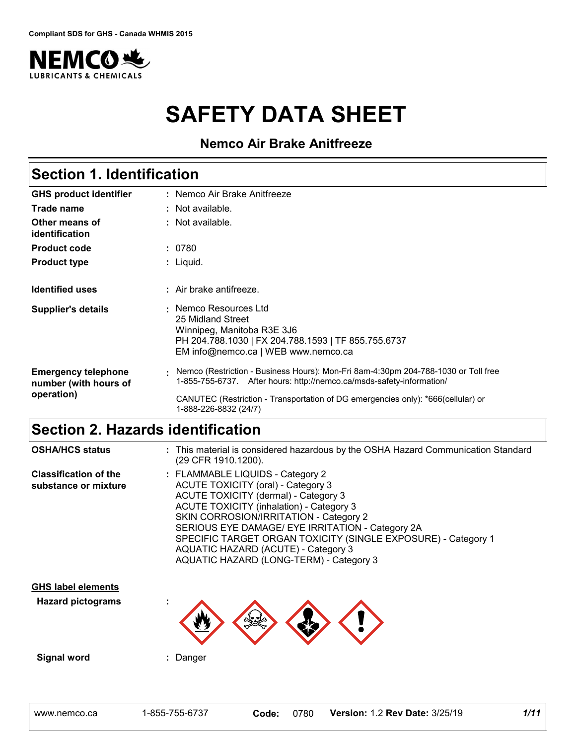

# **SAFETY DATA SHEET**

**Nemco Air Brake Anitfreeze**

| <b>Section 1. Identification</b>                    |                                                                                                                                                                        |  |
|-----------------------------------------------------|------------------------------------------------------------------------------------------------------------------------------------------------------------------------|--|
| <b>GHS product identifier</b>                       | : Nemco Air Brake Anitfreeze                                                                                                                                           |  |
| Trade name                                          | : Not available.                                                                                                                                                       |  |
| Other means of<br>identification                    | : Not available.                                                                                                                                                       |  |
| <b>Product code</b>                                 | : 0780                                                                                                                                                                 |  |
| <b>Product type</b>                                 | : Liquid.                                                                                                                                                              |  |
| <b>Identified uses</b>                              | $:$ Air brake antifreeze.                                                                                                                                              |  |
| <b>Supplier's details</b>                           | : Nemco Resources Ltd<br>25 Midland Street<br>Winnipeg, Manitoba R3E 3J6<br>PH 204.788.1030   FX 204.788.1593   TF 855.755.6737<br>EM info@nemco.ca   WEB www.nemco.ca |  |
| <b>Emergency telephone</b><br>number (with hours of | Nemco (Restriction - Business Hours): Mon-Fri 8am-4:30pm 204-788-1030 or Toll free<br>1-855-755-6737. After hours: http://nemco.ca/msds-safety-information/            |  |
| operation)                                          | CANUTEC (Restriction - Transportation of DG emergencies only): *666(cellular) or<br>1-888-226-8832 (24/7)                                                              |  |

### **Section 2. Hazards identification**

| <b>OSHA/HCS status</b>                                | (29 CFR 1910.1200).                                                                                                                                                                                                                                                                                  |       |      | : This material is considered hazardous by the OSHA Hazard Communication Standard                                 |      |
|-------------------------------------------------------|------------------------------------------------------------------------------------------------------------------------------------------------------------------------------------------------------------------------------------------------------------------------------------------------------|-------|------|-------------------------------------------------------------------------------------------------------------------|------|
| <b>Classification of the</b><br>substance or mixture  | : FLAMMABLE LIQUIDS - Category 2<br><b>ACUTE TOXICITY (oral) - Category 3</b><br>ACUTE TOXICITY (dermal) - Category 3<br><b>ACUTE TOXICITY (inhalation) - Category 3</b><br>SKIN CORROSION/IRRITATION - Category 2<br>AQUATIC HAZARD (ACUTE) - Category 3<br>AQUATIC HAZARD (LONG-TERM) - Category 3 |       |      | SERIOUS EYE DAMAGE/ EYE IRRITATION - Category 2A<br>SPECIFIC TARGET ORGAN TOXICITY (SINGLE EXPOSURE) - Category 1 |      |
| <b>GHS label elements</b><br><b>Hazard pictograms</b> |                                                                                                                                                                                                                                                                                                      |       |      |                                                                                                                   |      |
| <b>Signal word</b>                                    | : Danger                                                                                                                                                                                                                                                                                             |       |      |                                                                                                                   |      |
| www.nemco.ca                                          | 1-855-755-6737                                                                                                                                                                                                                                                                                       | Code: | 0780 | <b>Version: 1.2 Rev Date: 3/25/19</b>                                                                             | 1/11 |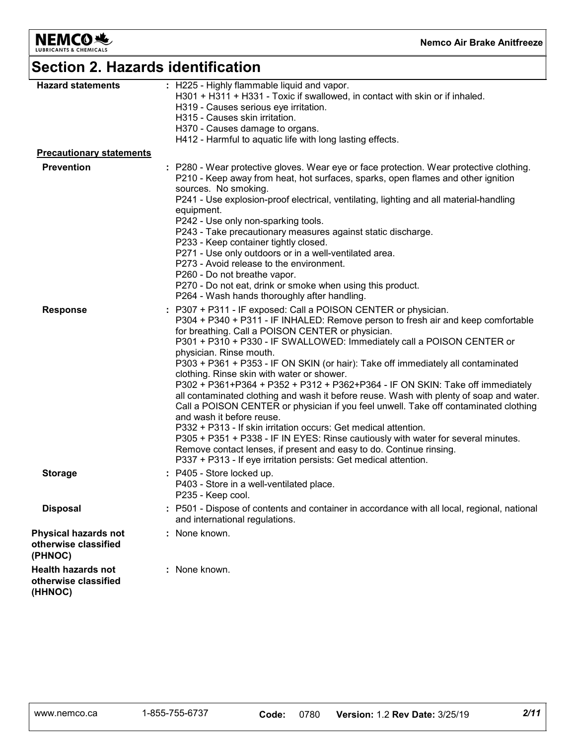

# **Section 2. Hazards identification**

| <b>Hazard statements</b>                                     | : H225 - Highly flammable liquid and vapor.<br>H301 + H311 + H331 - Toxic if swallowed, in contact with skin or if inhaled.<br>H319 - Causes serious eye irritation.<br>H315 - Causes skin irritation.<br>H370 - Causes damage to organs.<br>H412 - Harmful to aquatic life with long lasting effects.                                                                                                                                                                                                                                                                                                                                                                                                                                                                                                                                                                                                                                                                                                                                             |
|--------------------------------------------------------------|----------------------------------------------------------------------------------------------------------------------------------------------------------------------------------------------------------------------------------------------------------------------------------------------------------------------------------------------------------------------------------------------------------------------------------------------------------------------------------------------------------------------------------------------------------------------------------------------------------------------------------------------------------------------------------------------------------------------------------------------------------------------------------------------------------------------------------------------------------------------------------------------------------------------------------------------------------------------------------------------------------------------------------------------------|
| <b>Precautionary statements</b>                              |                                                                                                                                                                                                                                                                                                                                                                                                                                                                                                                                                                                                                                                                                                                                                                                                                                                                                                                                                                                                                                                    |
| <b>Prevention</b>                                            | : P280 - Wear protective gloves. Wear eye or face protection. Wear protective clothing.<br>P210 - Keep away from heat, hot surfaces, sparks, open flames and other ignition<br>sources. No smoking.<br>P241 - Use explosion-proof electrical, ventilating, lighting and all material-handling<br>equipment.<br>P242 - Use only non-sparking tools.<br>P243 - Take precautionary measures against static discharge.<br>P233 - Keep container tightly closed.<br>P271 - Use only outdoors or in a well-ventilated area.<br>P273 - Avoid release to the environment.<br>P260 - Do not breathe vapor.<br>P270 - Do not eat, drink or smoke when using this product.<br>P264 - Wash hands thoroughly after handling.                                                                                                                                                                                                                                                                                                                                    |
| <b>Response</b>                                              | : P307 + P311 - IF exposed: Call a POISON CENTER or physician.<br>P304 + P340 + P311 - IF INHALED: Remove person to fresh air and keep comfortable<br>for breathing. Call a POISON CENTER or physician.<br>P301 + P310 + P330 - IF SWALLOWED: Immediately call a POISON CENTER or<br>physician. Rinse mouth.<br>P303 + P361 + P353 - IF ON SKIN (or hair): Take off immediately all contaminated<br>clothing. Rinse skin with water or shower.<br>P302 + P361+P364 + P352 + P312 + P362+P364 - IF ON SKIN: Take off immediately<br>all contaminated clothing and wash it before reuse. Wash with plenty of soap and water.<br>Call a POISON CENTER or physician if you feel unwell. Take off contaminated clothing<br>and wash it before reuse.<br>P332 + P313 - If skin irritation occurs: Get medical attention.<br>P305 + P351 + P338 - IF IN EYES: Rinse cautiously with water for several minutes.<br>Remove contact lenses, if present and easy to do. Continue rinsing.<br>P337 + P313 - If eye irritation persists: Get medical attention. |
| <b>Storage</b>                                               | : P405 - Store locked up.<br>P403 - Store in a well-ventilated place.<br>P235 - Keep cool.                                                                                                                                                                                                                                                                                                                                                                                                                                                                                                                                                                                                                                                                                                                                                                                                                                                                                                                                                         |
| <b>Disposal</b>                                              | : P501 - Dispose of contents and container in accordance with all local, regional, national<br>and international regulations.                                                                                                                                                                                                                                                                                                                                                                                                                                                                                                                                                                                                                                                                                                                                                                                                                                                                                                                      |
| Physical hazards not<br>otherwise classified<br>(PHNOC)      | : None known.                                                                                                                                                                                                                                                                                                                                                                                                                                                                                                                                                                                                                                                                                                                                                                                                                                                                                                                                                                                                                                      |
| <b>Health hazards not</b><br>otherwise classified<br>(HHNOC) | : None known.                                                                                                                                                                                                                                                                                                                                                                                                                                                                                                                                                                                                                                                                                                                                                                                                                                                                                                                                                                                                                                      |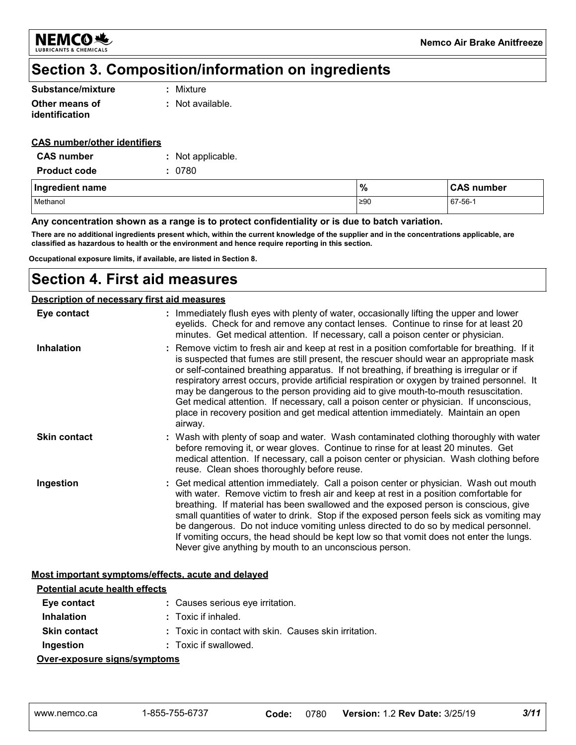

### **Section 3. Composition/information on ingredients**

| Substance/mixture | : Mixture        |
|-------------------|------------------|
| Other means of    | : Not available. |
| identification    |                  |

#### **CAS number/other identifiers**

| <b>CAS number</b>   | : Not applicable. |
|---------------------|-------------------|
| <b>Product code</b> | : 0780            |

| Ingredient name | $\frac{9}{6}$ | <b>CAS number</b> |
|-----------------|---------------|-------------------|
| Methanol        | ≥90           | 67-56-1           |

#### **Any concentration shown as a range is to protect confidentiality or is due to batch variation.**

**There are no additional ingredients present which, within the current knowledge of the supplier and in the concentrations applicable, are classified as hazardous to health or the environment and hence require reporting in this section.**

**Occupational exposure limits, if available, are listed in Section 8.**

### **Section 4. First aid measures**

#### **Description of necessary first aid measures**

| Eye contact         | : Immediately flush eyes with plenty of water, occasionally lifting the upper and lower<br>eyelids. Check for and remove any contact lenses. Continue to rinse for at least 20<br>minutes. Get medical attention. If necessary, call a poison center or physician.                                                                                                                                                                                                                                                                                                                                                                                                   |
|---------------------|----------------------------------------------------------------------------------------------------------------------------------------------------------------------------------------------------------------------------------------------------------------------------------------------------------------------------------------------------------------------------------------------------------------------------------------------------------------------------------------------------------------------------------------------------------------------------------------------------------------------------------------------------------------------|
| <b>Inhalation</b>   | : Remove victim to fresh air and keep at rest in a position comfortable for breathing. If it<br>is suspected that fumes are still present, the rescuer should wear an appropriate mask<br>or self-contained breathing apparatus. If not breathing, if breathing is irregular or if<br>respiratory arrest occurs, provide artificial respiration or oxygen by trained personnel. It<br>may be dangerous to the person providing aid to give mouth-to-mouth resuscitation.<br>Get medical attention. If necessary, call a poison center or physician. If unconscious,<br>place in recovery position and get medical attention immediately. Maintain an open<br>airway. |
| <b>Skin contact</b> | : Wash with plenty of soap and water. Wash contaminated clothing thoroughly with water<br>before removing it, or wear gloves. Continue to rinse for at least 20 minutes. Get<br>medical attention. If necessary, call a poison center or physician. Wash clothing before<br>reuse. Clean shoes thoroughly before reuse.                                                                                                                                                                                                                                                                                                                                              |
| Ingestion           | : Get medical attention immediately. Call a poison center or physician. Wash out mouth<br>with water. Remove victim to fresh air and keep at rest in a position comfortable for<br>breathing. If material has been swallowed and the exposed person is conscious, give<br>small quantities of water to drink. Stop if the exposed person feels sick as vomiting may<br>be dangerous. Do not induce vomiting unless directed to do so by medical personnel.<br>If vomiting occurs, the head should be kept low so that vomit does not enter the lungs.<br>Never give anything by mouth to an unconscious person.                                                      |

#### **Most important symptoms/effects, acute and delayed**

| <b>Potential acute health effects</b> |                                  |                                                       |                                       |      |
|---------------------------------------|----------------------------------|-------------------------------------------------------|---------------------------------------|------|
| Eye contact                           | : Causes serious eye irritation. |                                                       |                                       |      |
| <b>Inhalation</b>                     | $:$ Toxic if inhaled.            |                                                       |                                       |      |
| <b>Skin contact</b>                   |                                  | : Toxic in contact with skin. Causes skin irritation. |                                       |      |
| Ingestion                             | : Toxic if swallowed.            |                                                       |                                       |      |
| Over-exposure signs/symptoms          |                                  |                                                       |                                       |      |
| www.nemco.ca                          | 1-855-755-6737                   | 0780<br>Code:                                         | <b>Version: 1.2 Rev Date: 3/25/19</b> | 3/11 |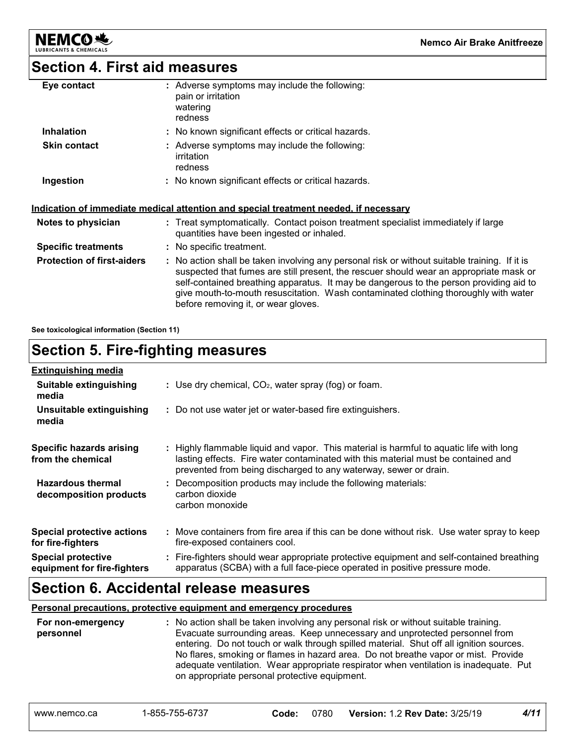

### **Section 4. First aid measures**

| Eye contact                       | : Adverse symptoms may include the following:<br>pain or irritation<br>watering<br>redness                                                                                                                                                                                                                                                                                                                      |
|-----------------------------------|-----------------------------------------------------------------------------------------------------------------------------------------------------------------------------------------------------------------------------------------------------------------------------------------------------------------------------------------------------------------------------------------------------------------|
| <b>Inhalation</b>                 | : No known significant effects or critical hazards.                                                                                                                                                                                                                                                                                                                                                             |
| <b>Skin contact</b>               | : Adverse symptoms may include the following:<br>irritation<br>redness                                                                                                                                                                                                                                                                                                                                          |
| Ingestion                         | : No known significant effects or critical hazards.                                                                                                                                                                                                                                                                                                                                                             |
|                                   | <u>Indication of immediate medical attention and special treatment needed, if necessary</u>                                                                                                                                                                                                                                                                                                                     |
| Notes to physician                | : Treat symptomatically. Contact poison treatment specialist immediately if large<br>quantities have been ingested or inhaled.                                                                                                                                                                                                                                                                                  |
| <b>Specific treatments</b>        | : No specific treatment.                                                                                                                                                                                                                                                                                                                                                                                        |
| <b>Protection of first-aiders</b> | : No action shall be taken involving any personal risk or without suitable training. If it is<br>suspected that fumes are still present, the rescuer should wear an appropriate mask or<br>self-contained breathing apparatus. It may be dangerous to the person providing aid to<br>give mouth-to-mouth resuscitation. Wash contaminated clothing thoroughly with water<br>before removing it, or wear gloves. |

**See toxicological information (Section 11)**

### **Section 5. Fire-fighting measures**

| <b>Extinguishing media</b>                               |                                                                                                                                                                                                                                                  |
|----------------------------------------------------------|--------------------------------------------------------------------------------------------------------------------------------------------------------------------------------------------------------------------------------------------------|
| Suitable extinguishing<br>media                          | : Use dry chemical, $CO2$ , water spray (fog) or foam.                                                                                                                                                                                           |
| Unsuitable extinguishing<br>media                        | : Do not use water jet or water-based fire extinguishers.                                                                                                                                                                                        |
| Specific hazards arising<br>from the chemical            | : Highly flammable liquid and vapor. This material is harmful to aquatic life with long<br>lasting effects. Fire water contaminated with this material must be contained and<br>prevented from being discharged to any waterway, sewer or drain. |
| <b>Hazardous thermal</b><br>decomposition products       | Decomposition products may include the following materials:<br>carbon dioxide<br>carbon monoxide                                                                                                                                                 |
| <b>Special protective actions</b><br>for fire-fighters   | : Move containers from fire area if this can be done without risk. Use water spray to keep<br>fire-exposed containers cool.                                                                                                                      |
| <b>Special protective</b><br>equipment for fire-fighters | : Fire-fighters should wear appropriate protective equipment and self-contained breathing<br>apparatus (SCBA) with a full face-piece operated in positive pressure mode.                                                                         |

### **Section 6. Accidental release measures**

#### **Personal precautions, protective equipment and emergency procedures**

| For non-emergency<br>personnel | on appropriate personal protective equipment. |       |      | : No action shall be taken involving any personal risk or without suitable training.<br>Evacuate surrounding areas. Keep unnecessary and unprotected personnel from<br>entering. Do not touch or walk through spilled material. Shut off all ignition sources.<br>No flares, smoking or flames in hazard area. Do not breathe vapor or mist. Provide<br>adequate ventilation. Wear appropriate respirator when ventilation is inadequate. Put |      |
|--------------------------------|-----------------------------------------------|-------|------|-----------------------------------------------------------------------------------------------------------------------------------------------------------------------------------------------------------------------------------------------------------------------------------------------------------------------------------------------------------------------------------------------------------------------------------------------|------|
| www.nemco.ca                   | 1-855-755-6737                                | Code: | 0780 | <b>Version: 1.2 Rev Date: 3/25/19</b>                                                                                                                                                                                                                                                                                                                                                                                                         | 4/11 |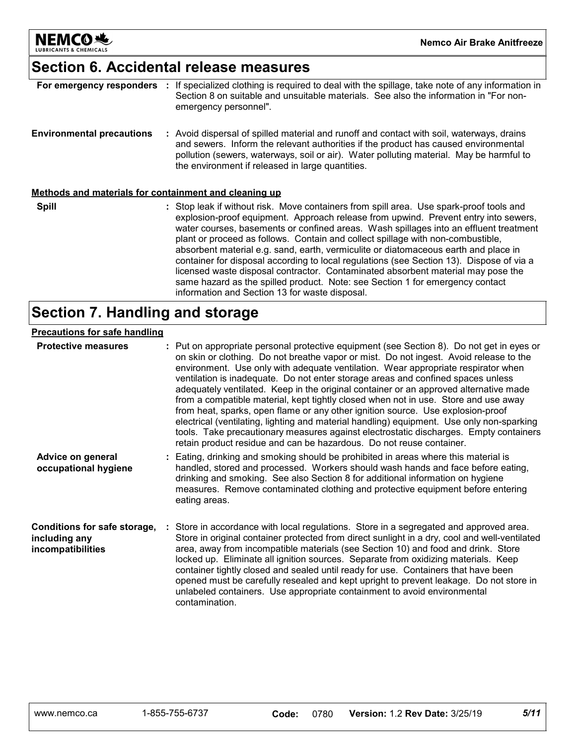

### **Section 6. Accidental release measures**

| For emergency responders                              | If specialized clothing is required to deal with the spillage, take note of any information in<br>Section 8 on suitable and unsuitable materials. See also the information in "For non-<br>emergency personnel".                                                                                                                                                                                                                                                                                                                                                                                                                                                                                                                                                     |
|-------------------------------------------------------|----------------------------------------------------------------------------------------------------------------------------------------------------------------------------------------------------------------------------------------------------------------------------------------------------------------------------------------------------------------------------------------------------------------------------------------------------------------------------------------------------------------------------------------------------------------------------------------------------------------------------------------------------------------------------------------------------------------------------------------------------------------------|
| <b>Environmental precautions</b>                      | : Avoid dispersal of spilled material and runoff and contact with soil, waterways, drains<br>and sewers. Inform the relevant authorities if the product has caused environmental<br>pollution (sewers, waterways, soil or air). Water polluting material. May be harmful to<br>the environment if released in large quantities.                                                                                                                                                                                                                                                                                                                                                                                                                                      |
| Methods and materials for containment and cleaning up |                                                                                                                                                                                                                                                                                                                                                                                                                                                                                                                                                                                                                                                                                                                                                                      |
| <b>Spill</b>                                          | : Stop leak if without risk. Move containers from spill area. Use spark-proof tools and<br>explosion-proof equipment. Approach release from upwind. Prevent entry into sewers,<br>water courses, basements or confined areas. Wash spillages into an effluent treatment<br>plant or proceed as follows. Contain and collect spillage with non-combustible,<br>absorbent material e.g. sand, earth, vermiculite or diatomaceous earth and place in<br>container for disposal according to local regulations (see Section 13). Dispose of via a<br>licensed waste disposal contractor. Contaminated absorbent material may pose the<br>same hazard as the spilled product. Note: see Section 1 for emergency contact<br>information and Section 13 for waste disposal. |

### **Section 7. Handling and storage**

#### **Precautions for safe handling**

| <b>Protective measures</b>                                         | : Put on appropriate personal protective equipment (see Section 8). Do not get in eyes or<br>on skin or clothing. Do not breathe vapor or mist. Do not ingest. Avoid release to the<br>environment. Use only with adequate ventilation. Wear appropriate respirator when<br>ventilation is inadequate. Do not enter storage areas and confined spaces unless<br>adequately ventilated. Keep in the original container or an approved alternative made<br>from a compatible material, kept tightly closed when not in use. Store and use away<br>from heat, sparks, open flame or any other ignition source. Use explosion-proof<br>electrical (ventilating, lighting and material handling) equipment. Use only non-sparking<br>tools. Take precautionary measures against electrostatic discharges. Empty containers<br>retain product residue and can be hazardous. Do not reuse container. |
|--------------------------------------------------------------------|-----------------------------------------------------------------------------------------------------------------------------------------------------------------------------------------------------------------------------------------------------------------------------------------------------------------------------------------------------------------------------------------------------------------------------------------------------------------------------------------------------------------------------------------------------------------------------------------------------------------------------------------------------------------------------------------------------------------------------------------------------------------------------------------------------------------------------------------------------------------------------------------------|
| Advice on general<br>occupational hygiene                          | : Eating, drinking and smoking should be prohibited in areas where this material is<br>handled, stored and processed. Workers should wash hands and face before eating,<br>drinking and smoking. See also Section 8 for additional information on hygiene<br>measures. Remove contaminated clothing and protective equipment before entering<br>eating areas.                                                                                                                                                                                                                                                                                                                                                                                                                                                                                                                                 |
| Conditions for safe storage,<br>including any<br>incompatibilities | Store in accordance with local regulations. Store in a segregated and approved area.<br>Store in original container protected from direct sunlight in a dry, cool and well-ventilated<br>area, away from incompatible materials (see Section 10) and food and drink. Store<br>locked up. Eliminate all ignition sources. Separate from oxidizing materials. Keep<br>container tightly closed and sealed until ready for use. Containers that have been<br>opened must be carefully resealed and kept upright to prevent leakage. Do not store in<br>unlabeled containers. Use appropriate containment to avoid environmental<br>contamination.                                                                                                                                                                                                                                                |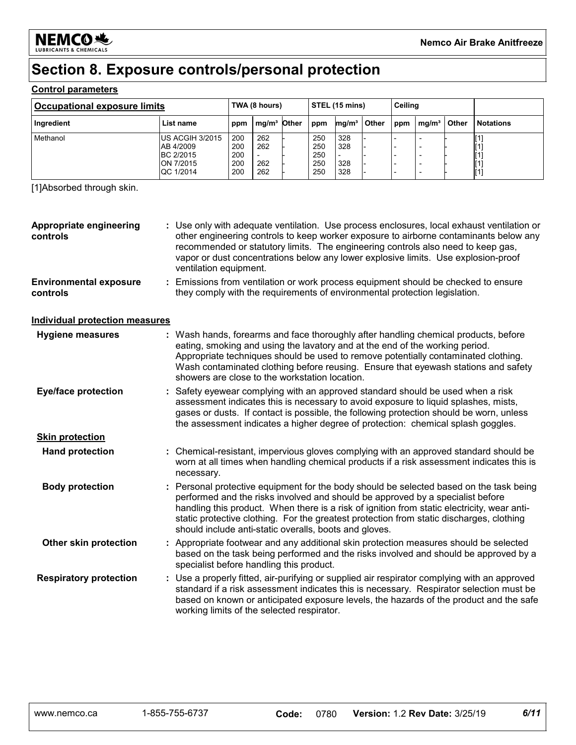

### **Section 8. Exposure controls/personal protection**

#### **Control parameters**

| <b>Occupational exposure limits</b> |                                                                     | TWA (8 hours)                   |                          |  | STEL (15 mins)                  |                          |       | Ceiling |                   |       |                                                                                                                                              |
|-------------------------------------|---------------------------------------------------------------------|---------------------------------|--------------------------|--|---------------------------------|--------------------------|-------|---------|-------------------|-------|----------------------------------------------------------------------------------------------------------------------------------------------|
| Ingredient                          | List name                                                           | ppm                             | mg/m <sup>3</sup> Other  |  | ppm                             | mg/m <sup>3</sup>        | Other | ppm     | mg/m <sup>3</sup> | Other | <b>Notations</b>                                                                                                                             |
| Methanol                            | US ACGIH 3/2015<br>AB 4/2009<br>BC 2/2015<br>ON 7/2015<br>QC 1/2014 | 200<br>200<br>200<br>200<br>200 | 262<br>262<br>262<br>262 |  | 250<br>250<br>250<br>250<br>250 | 328<br>328<br>328<br>328 |       |         | -                 |       | $\left[ \text{1}\right]$<br>$\left[ \text{1}\right]$<br>$\left[ \text{1}\right]$<br>$\left[ \begin{smallmatrix} 1 \end{smallmatrix} \right]$ |

[1]Absorbed through skin.

| Appropriate engineering<br>controls       | : Use only with adequate ventilation. Use process enclosures, local exhaust ventilation or<br>other engineering controls to keep worker exposure to airborne contaminants below any<br>recommended or statutory limits. The engineering controls also need to keep gas,<br>vapor or dust concentrations below any lower explosive limits. Use explosion-proof<br>ventilation equipment.                                        |
|-------------------------------------------|--------------------------------------------------------------------------------------------------------------------------------------------------------------------------------------------------------------------------------------------------------------------------------------------------------------------------------------------------------------------------------------------------------------------------------|
| <b>Environmental exposure</b><br>controls | : Emissions from ventilation or work process equipment should be checked to ensure<br>they comply with the requirements of environmental protection legislation.                                                                                                                                                                                                                                                               |
| <b>Individual protection measures</b>     |                                                                                                                                                                                                                                                                                                                                                                                                                                |
| <b>Hygiene measures</b>                   | : Wash hands, forearms and face thoroughly after handling chemical products, before<br>eating, smoking and using the lavatory and at the end of the working period.<br>Appropriate techniques should be used to remove potentially contaminated clothing.<br>Wash contaminated clothing before reusing. Ensure that eyewash stations and safety<br>showers are close to the workstation location.                              |
| <b>Eye/face protection</b>                | : Safety eyewear complying with an approved standard should be used when a risk<br>assessment indicates this is necessary to avoid exposure to liquid splashes, mists,<br>gases or dusts. If contact is possible, the following protection should be worn, unless<br>the assessment indicates a higher degree of protection: chemical splash goggles.                                                                          |
| <b>Skin protection</b>                    |                                                                                                                                                                                                                                                                                                                                                                                                                                |
| <b>Hand protection</b>                    | : Chemical-resistant, impervious gloves complying with an approved standard should be<br>worn at all times when handling chemical products if a risk assessment indicates this is<br>necessary.                                                                                                                                                                                                                                |
| <b>Body protection</b>                    | : Personal protective equipment for the body should be selected based on the task being<br>performed and the risks involved and should be approved by a specialist before<br>handling this product. When there is a risk of ignition from static electricity, wear anti-<br>static protective clothing. For the greatest protection from static discharges, clothing<br>should include anti-static overalls, boots and gloves. |
| Other skin protection                     | : Appropriate footwear and any additional skin protection measures should be selected<br>based on the task being performed and the risks involved and should be approved by a<br>specialist before handling this product.                                                                                                                                                                                                      |
| <b>Respiratory protection</b>             | : Use a properly fitted, air-purifying or supplied air respirator complying with an approved<br>standard if a risk assessment indicates this is necessary. Respirator selection must be<br>based on known or anticipated exposure levels, the hazards of the product and the safe<br>working limits of the selected respirator.                                                                                                |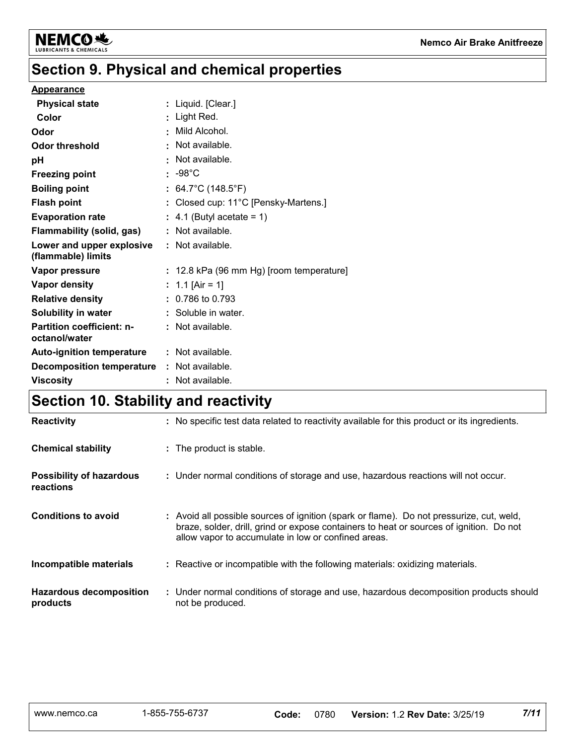

## **Section 9. Physical and chemical properties**

#### **Appearance**

| <b>Physical state</b>                           |           | : Liquid. [Clear.]                       |
|-------------------------------------------------|-----------|------------------------------------------|
| Color                                           |           | Light Red.                               |
| Odor                                            | $\bullet$ | Mild Alcohol.                            |
| <b>Odor threshold</b>                           | ÷.        | Not available.                           |
| рH                                              |           | Not available.                           |
| <b>Freezing point</b>                           |           | $: -98^{\circ}$ C                        |
| <b>Boiling point</b>                            |           | : $64.7^{\circ}$ C (148.5 $^{\circ}$ F)  |
| <b>Flash point</b>                              |           | : Closed cup: 11°C [Pensky-Martens.]     |
| <b>Evaporation rate</b>                         |           | $\therefore$ 4.1 (Butyl acetate = 1)     |
| <b>Flammability (solid, gas)</b>                |           | $:$ Not available.                       |
| Lower and upper explosive<br>(flammable) limits |           | : Not available.                         |
| Vapor pressure                                  |           | : 12.8 kPa (96 mm Hg) [room temperature] |
| Vapor density                                   |           | : 1.1 [Air = 1]                          |
| <b>Relative density</b>                         |           | $: 0.786$ to 0.793                       |
| Solubility in water                             |           | : Soluble in water.                      |
| Partition coefficient: n-<br>octanol/water      |           | : Not available.                         |
| <b>Auto-ignition temperature</b>                |           | : Not available.                         |
| <b>Decomposition temperature</b>                |           | : Not available.                         |
| <b>Viscosity</b>                                |           | Not available.                           |

### **Section 10. Stability and reactivity**

| <b>Reactivity</b>                            | : No specific test data related to reactivity available for this product or its ingredients.                                                                                                                                               |
|----------------------------------------------|--------------------------------------------------------------------------------------------------------------------------------------------------------------------------------------------------------------------------------------------|
| <b>Chemical stability</b>                    | : The product is stable.                                                                                                                                                                                                                   |
| <b>Possibility of hazardous</b><br>reactions | : Under normal conditions of storage and use, hazardous reactions will not occur.                                                                                                                                                          |
| <b>Conditions to avoid</b>                   | : Avoid all possible sources of ignition (spark or flame). Do not pressurize, cut, weld,<br>braze, solder, drill, grind or expose containers to heat or sources of ignition. Do not<br>allow vapor to accumulate in low or confined areas. |
| Incompatible materials                       | : Reactive or incompatible with the following materials: oxidizing materials.                                                                                                                                                              |
| <b>Hazardous decomposition</b><br>products   | : Under normal conditions of storage and use, hazardous decomposition products should<br>not be produced.                                                                                                                                  |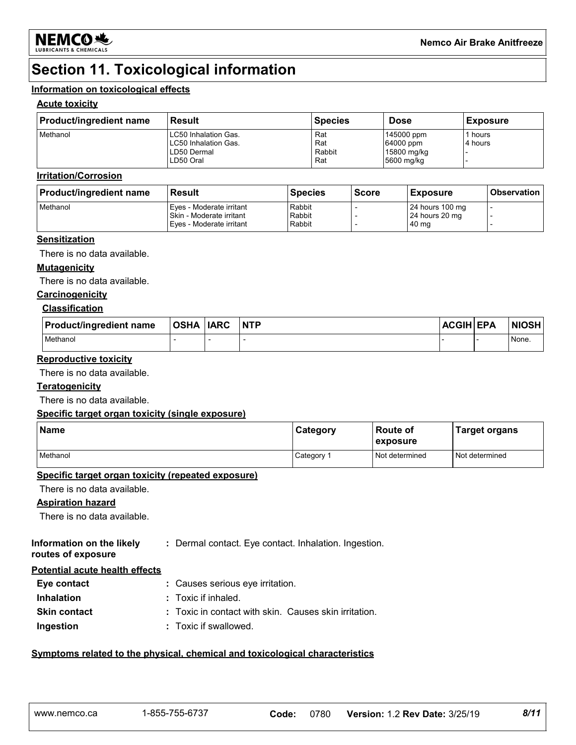

## **Section 11. Toxicological information**

#### **Information on toxicological effects**

#### **Acute toxicity**

| <b>Product/ingredient name</b> | Result                                                                   | <b>Species</b>              | <b>Dose</b>                                          | <b>Exposure</b>  |
|--------------------------------|--------------------------------------------------------------------------|-----------------------------|------------------------------------------------------|------------------|
| Methanol                       | LC50 Inhalation Gas.<br>LC50 Inhalation Gas.<br>LD50 Dermal<br>LD50 Oral | Rat<br>Rat<br>Rabbit<br>Rat | 145000 ppm<br>64000 ppm<br>15800 mg/kg<br>5600 mg/kg | hours<br>4 hours |

#### **Irritation/Corrosion**

| <b>Product/ingredient name</b> | <b>Result</b>                                                                    | <b>Species</b>             | <b>Score</b> | <b>Exposure</b>                             | <b>Observation</b> |
|--------------------------------|----------------------------------------------------------------------------------|----------------------------|--------------|---------------------------------------------|--------------------|
| Methanol                       | Eyes - Moderate irritant<br>Skin - Moderate irritant<br>Eves - Moderate irritant | Rabbit<br>Rabbit<br>Rabbit |              | 24 hours 100 mg<br>24 hours 20 mg<br>140 mg |                    |

#### **Sensitization**

There is no data available.

#### **Mutagenicity**

There is no data available.

#### **Carcinogenicity**

#### **Classification**

| <b>Product/ingredient name</b> | <b>OSHA</b> | <b>IARC</b> | <b>NTP</b> | <b>ACGIH EPA</b> | <b>NIOSH</b> |
|--------------------------------|-------------|-------------|------------|------------------|--------------|
| Methanol                       |             |             |            |                  | None.        |

#### **Reproductive toxicity**

There is no data available.

#### **Teratogenicity**

There is no data available.

#### **Specific target organ toxicity (single exposure)**

| <b>Name</b> | Category   | <b>Route of</b><br>exposure | Target organs  |
|-------------|------------|-----------------------------|----------------|
| Methanol    | Category 1 | Not determined              | Not determined |

#### **Specific target organ toxicity (repeated exposure)**

There is no data available.

#### **Aspiration hazard**

There is no data available.

| Information on the likely | : Dermal contact. Eye contact. Inhalation. Ingestion. |  |
|---------------------------|-------------------------------------------------------|--|
| routes of exposure        |                                                       |  |

**Potential acute health effects**

| Eye contact         | : Causes serious eye irritation.                      |
|---------------------|-------------------------------------------------------|
| <b>Inhalation</b>   | $\therefore$ Toxic if inhaled.                        |
| <b>Skin contact</b> | : Toxic in contact with skin. Causes skin irritation. |
| Ingestion           | : Toxic if swallowed.                                 |

#### **Symptoms related to the physical, chemical and toxicological characteristics**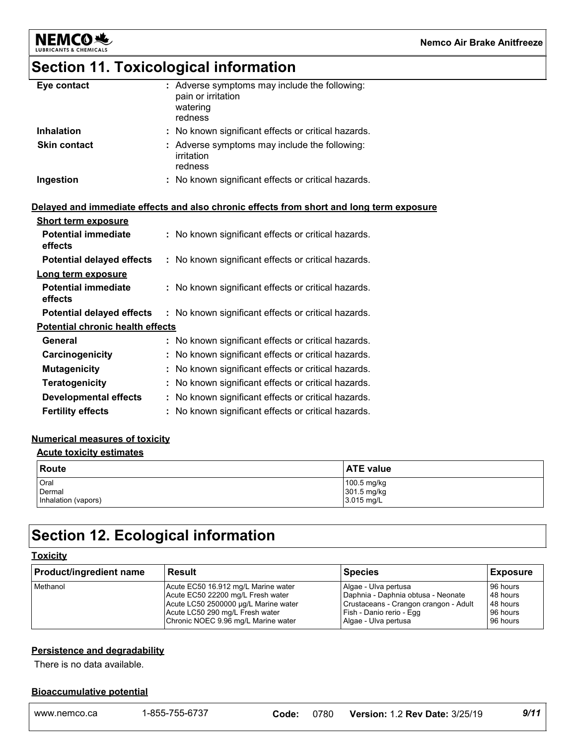

### **Section 11. Toxicological information**

| Eye contact         | : Adverse symptoms may include the following:<br>pain or irritation<br>watering<br>redness |
|---------------------|--------------------------------------------------------------------------------------------|
| <b>Inhalation</b>   | : No known significant effects or critical hazards.                                        |
| <b>Skin contact</b> | : Adverse symptoms may include the following:<br>irritation<br>redness                     |
| Ingestion           | : No known significant effects or critical hazards.                                        |

#### **Delayed and immediate effects and also chronic effects from short and long term exposure**

| <b>Short term exposure</b>              |                                                     |
|-----------------------------------------|-----------------------------------------------------|
| <b>Potential immediate</b><br>effects   | : No known significant effects or critical hazards. |
| <b>Potential delayed effects</b>        | : No known significant effects or critical hazards. |
| Long term exposure                      |                                                     |
| <b>Potential immediate</b><br>effects   | : No known significant effects or critical hazards. |
| <b>Potential delayed effects</b>        | : No known significant effects or critical hazards. |
| <b>Potential chronic health effects</b> |                                                     |
| General                                 | : No known significant effects or critical hazards. |
| Carcinogenicity                         | : No known significant effects or critical hazards. |
| <b>Mutagenicity</b>                     | : No known significant effects or critical hazards. |
| <b>Teratogenicity</b>                   | : No known significant effects or critical hazards. |
| <b>Developmental effects</b>            | : No known significant effects or critical hazards. |
| <b>Fertility effects</b>                | : No known significant effects or critical hazards. |

#### **Numerical measures of toxicity**

#### **Acute toxicity estimates**

| Route               | <b>ATE</b> value |
|---------------------|------------------|
| Oral                | 100.5 mg/kg      |
| Dermal              | 301.5 mg/kg      |
| Inhalation (vapors) | 3.015 mg/L       |

### **Section 12. Ecological information**

#### **Toxicity**

| Product/ingredient name | <b>Result</b>                        | <b>Species</b>                        | <b>Exposure</b> |
|-------------------------|--------------------------------------|---------------------------------------|-----------------|
| Methanol                | Acute EC50 16.912 mg/L Marine water  | Algae - Ulva pertusa                  | 96 hours        |
|                         | Acute EC50 22200 mg/L Fresh water    | Daphnia - Daphnia obtusa - Neonate    | 48 hours        |
|                         | Acute LC50 2500000 µg/L Marine water | Crustaceans - Crangon crangon - Adult | 48 hours        |
|                         | Acute LC50 290 mg/L Fresh water      | Fish - Danio rerio - Egg              | 96 hours        |
|                         | Chronic NOEC 9.96 mg/L Marine water  | Algae - Ulva pertusa                  | 96 hours        |

#### **Persistence and degradability**

#### **Bioaccumulative potential**

| There is no data available.      |                |       |      |                                       |      |
|----------------------------------|----------------|-------|------|---------------------------------------|------|
| <b>Bioaccumulative potential</b> |                |       |      |                                       |      |
| www.nemco.ca                     | 1-855-755-6737 | Code: | 0780 | <b>Version: 1.2 Rev Date: 3/25/19</b> | 9/11 |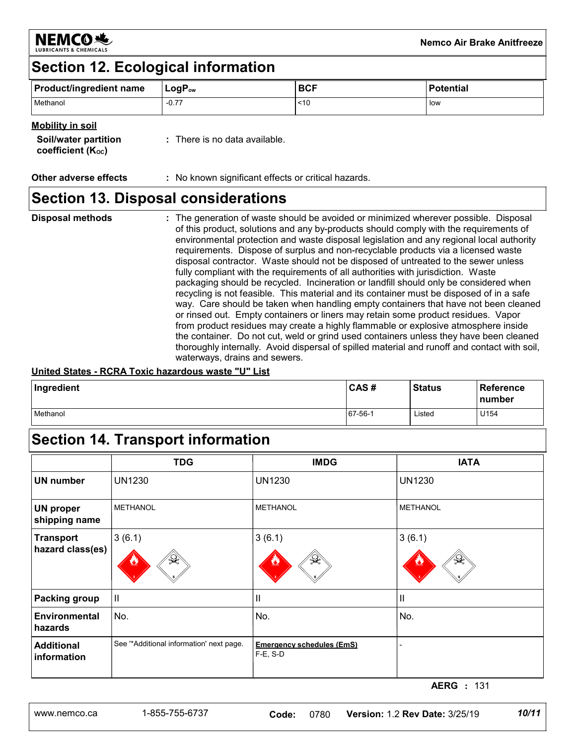

### **Section 12. Ecological information**

| <b>Product/ingredient name</b> | $LogP_{ow}$ | <b>BCF</b> | <b>Potential</b> |
|--------------------------------|-------------|------------|------------------|
| Methanol<br>$-0.77$            |             | ~10        | low              |

#### **Mobility in soil**

| <b>Soil/water partition</b><br>coefficient $(K_{oc})$ | $\therefore$ There is no data available. |
|-------------------------------------------------------|------------------------------------------|
|                                                       |                                          |

**Other adverse effects** : No known significant effects or critical hazards.

### **Section 13. Disposal considerations**

### **Disposal methods :**

The generation of waste should be avoided or minimized wherever possible. Disposal of this product, solutions and any by-products should comply with the requirements of environmental protection and waste disposal legislation and any regional local authority requirements. Dispose of surplus and non-recyclable products via a licensed waste disposal contractor. Waste should not be disposed of untreated to the sewer unless fully compliant with the requirements of all authorities with jurisdiction. Waste packaging should be recycled. Incineration or landfill should only be considered when recycling is not feasible. This material and its container must be disposed of in a safe way. Care should be taken when handling empty containers that have not been cleaned or rinsed out. Empty containers or liners may retain some product residues. Vapor from product residues may create a highly flammable or explosive atmosphere inside the container. Do not cut, weld or grind used containers unless they have been cleaned thoroughly internally. Avoid dispersal of spilled material and runoff and contact with soil, waterways, drains and sewers.

#### **United States - RCRA Toxic hazardous waste "U" List**

| Ingredient | CAS#    | <b>Status</b> | Reference<br><b>number</b> |
|------------|---------|---------------|----------------------------|
| Methanol   | 67-56-1 | Listed        | U154                       |

### **Section 14. Transport information**

|                                      | <b>TDG</b>                              | <b>IMDG</b>                                     | <b>IATA</b>                             |
|--------------------------------------|-----------------------------------------|-------------------------------------------------|-----------------------------------------|
| <b>UN number</b>                     | <b>UN1230</b>                           | <b>UN1230</b>                                   | <b>UN1230</b>                           |
| <b>UN proper</b><br>shipping name    | <b>METHANOL</b>                         | <b>METHANOL</b>                                 | <b>METHANOL</b>                         |
| <b>Transport</b><br>hazard class(es) | 3(6.1)                                  | 3(6.1)                                          | 3(6.1)<br>₩                             |
| <b>Packing group</b>                 | $\vert\vert$                            | П                                               | $\mathbf{  }$                           |
| <b>Environmental</b><br>hazards      | No.                                     | No.                                             | No.                                     |
| <b>Additional</b><br>information     | See "Additional information' next page. | <b>Emergency schedules (EmS)</b><br>$F-E$ , S-D |                                         |
|                                      |                                         |                                                 | <b>AERG</b> : 131                       |
| www.nemco.ca                         | 1-855-755-6737                          | 0780<br>Code:                                   | 10/11<br>Version: 1.2 Rev Date: 3/25/19 |